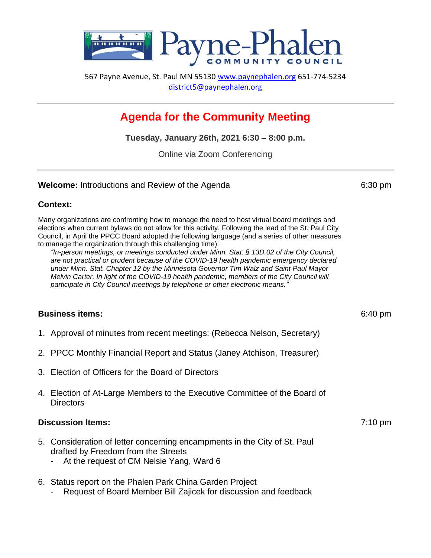

567 Payne Avenue, St. Paul MN 55130 [www.paynephalen.org](http://www.paynephalen.org/) 651-774-5234 [district5@paynephalen.org](mailto:district5@paynephalen.org)

# **Agenda for the Community Meeting**

**Tuesday, January 26th, 2021 6:30 – 8:00 p.m.**

Online via Zoom Conferencing

#### **Welcome:** Introductions and Review of the Agenda 6:30 pm

## **Context:**

Many organizations are confronting how to manage the need to host virtual board meetings and elections when current bylaws do not allow for this activity. Following the lead of the St. Paul City Council, in April the PPCC Board adopted the following language (and a series of other measures to manage the organization through this challenging time):

*"In-person meetings, or meetings conducted under Minn. Stat. § 13D.02 of the City Council, are not practical or prudent because of the COVID-19 health pandemic emergency declared under Minn. Stat. Chapter 12 by the Minnesota Governor Tim Walz and Saint Paul Mayor Melvin Carter. In light of the COVID-19 health pandemic, members of the City Council will participate in City Council meetings by telephone or other electronic means."*

## **Business items:** 6:40 pm

- 1. Approval of minutes from recent meetings: (Rebecca Nelson, Secretary)
- 2. PPCC Monthly Financial Report and Status (Janey Atchison, Treasurer)
- 3. Election of Officers for the Board of Directors
- 4. Election of At-Large Members to the Executive Committee of the Board of **Directors**

#### **Discussion Items:** 7:10 pm

- 5. [Consideration of letter](https://www.stpaul.gov/departments/public-works/transportation/twin-cities-electric-vehicle-mobility-network) concerning encampments in the City of St. Paul drafted by Freedom from the Streets
	- At the request of CM Nelsie Yang, Ward 6
- 6. Status report on the Phalen Park China Garden Project
	- Request of Board Member Bill Zajicek for discussion and feedback